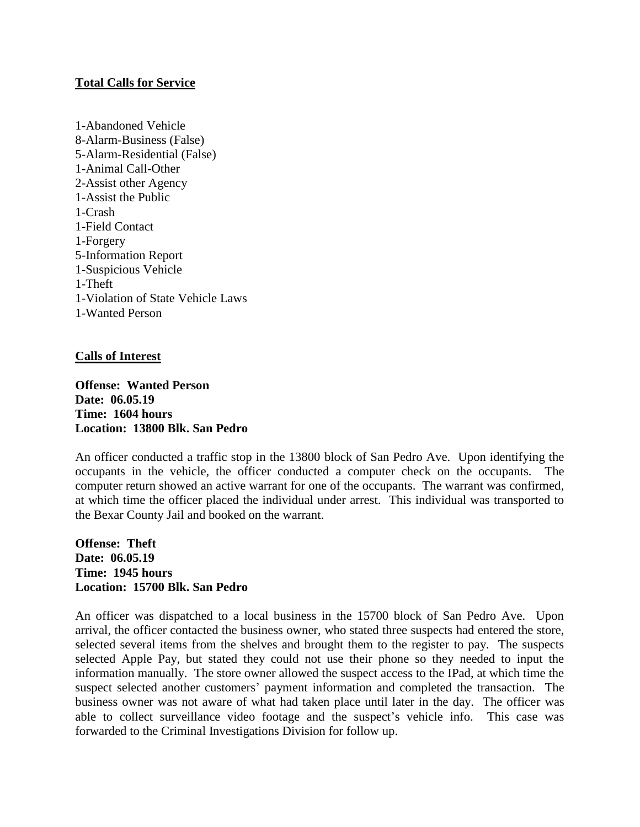## **Total Calls for Service**

1-Abandoned Vehicle 8-Alarm-Business (False) 5-Alarm-Residential (False) 1-Animal Call-Other 2-Assist other Agency 1-Assist the Public 1-Crash 1-Field Contact 1-Forgery 5-Information Report 1-Suspicious Vehicle 1-Theft 1-Violation of State Vehicle Laws 1-Wanted Person

## **Calls of Interest**

**Offense: Wanted Person Date: 06.05.19 Time: 1604 hours Location: 13800 Blk. San Pedro**

An officer conducted a traffic stop in the 13800 block of San Pedro Ave. Upon identifying the occupants in the vehicle, the officer conducted a computer check on the occupants. The computer return showed an active warrant for one of the occupants. The warrant was confirmed, at which time the officer placed the individual under arrest. This individual was transported to the Bexar County Jail and booked on the warrant.

**Offense: Theft Date: 06.05.19 Time: 1945 hours Location: 15700 Blk. San Pedro**

An officer was dispatched to a local business in the 15700 block of San Pedro Ave. Upon arrival, the officer contacted the business owner, who stated three suspects had entered the store, selected several items from the shelves and brought them to the register to pay. The suspects selected Apple Pay, but stated they could not use their phone so they needed to input the information manually. The store owner allowed the suspect access to the IPad, at which time the suspect selected another customers' payment information and completed the transaction. The business owner was not aware of what had taken place until later in the day. The officer was able to collect surveillance video footage and the suspect's vehicle info. This case was forwarded to the Criminal Investigations Division for follow up.